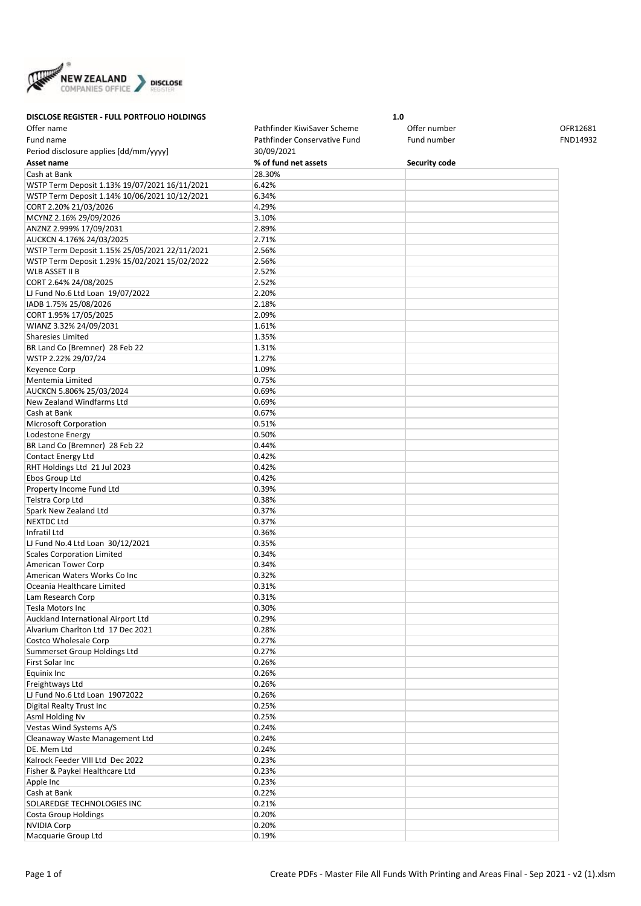

**DISCLOSE REGISTER - FULL PORTFOLIO HOLDINGS 1.0** Offer name Pathfinder KiwiSaver Scheme Offer number OFR12681 Fund name The Pathfinder Conservative Fund Fund number Fund number FND14932 Period disclosure applies [dd/mm/yyyy] 30/09/2021 **Asset name % of fund net assets Security code** Cash at Bank 28.30% WSTP Term Deposit 1.13% 19/07/2021 16/11/2021 6.42% WSTP Term Deposit 1.14% 10/06/2021 10/12/2021 6.34% CORT 2.20% 21/03/2026 4.29% MCYNZ 2.16% 29/09/2026 3.10% ANZNZ 2.999% 17/09/2031 2.89% AUCKCN 4.176% 24/03/2025 2.71% WSTP Term Deposit 1.15% 25/05/2021 22/11/2021 2.56% WSTP Term Deposit 1.29% 15/02/2021 15/02/2022 2.56% WLB ASSET II B 2.52% CORT 2.64% 24/08/2025 2.52% LJ Fund No.6 Ltd Loan 19/07/2022 2.20% IADB 1.75% 25/08/2026 2.18% CORT 1.95% 17/05/2025 2.09% WIANZ 3.32% 24/09/2031 1.61% Sharesies Limited 1.35% BR Land Co (Bremner) 28 Feb 22 1.31% WSTP 2.22% 29/07/24 2.27% Keyence Corp **1.09%** Mentemia Limited **0.75%** AUCKCN 5.806% 25/03/2024 0.69% New Zealand Windfarms Ltd 0.69% Cash at Bank 0.67% Microsoft Corporation 2008 2012 2014 2015 2016 Lodestone Energy 2008 2009 2012 2022 2023 2024 2012 2023 2024 20:50 20:50 20:50 20:50 20:50 20:50 20:50 20:50 20:50 20:50 20:50 20:50 20:50 20:50 20:50 20:50 20:50 20:50 20:50 20:50 20:50 20:50 20:50 20:50 20:50 20:50 20:5 BR Land Co (Bremner) 28 Feb 22 0.44% Contact Energy Ltd 0.42% RHT Holdings Ltd 21 Jul 2023 0.42% Ebos Group Ltd **Data Controllers Controllers Controllers Controllers Controllers Controllers Controllers** Property Income Fund Ltd 0.39% Telstra Corp Ltd **0.38%** Spark New Zealand Ltd 0.37% NEXTDC Ltd 0.37% Infratil Ltd 0.36% LJ Fund No.4 Ltd Loan 30/12/2021 0.35% Scales Corporation Limited 0.34% American Tower Corp 0.34% American Waters Works Co Inc **Canadian Contract 10.32%** Oceania Healthcare Limited 0.31% Lam Research Corp **1.2008 Lam Research Corp** Tesla Motors Inc  $\sim$  0.30% Auckland International Airport Ltd 0.29% Alvarium Charlton Ltd 17 Dec 2021 0.28%  $\Gamma$ Costco Wholesale Corp  $\Gamma$  0.27% Summerset Group Holdings Ltd 0.27% First Solar Inc **Department of the United States** of D.26% Equinix Inc 0.26% Freightways Ltd **Disk Community** 1.26% LJ Fund No.6 Ltd Loan 19072022 0.26% Digital Realty Trust Inc **Digital Realty Trust Inc** 0.25% Asml Holding Nv 0.25% Vestas Wind Systems A/S 0.24% Cleanaway Waste Management Ltd **Cleanaway Waste Management Ltd** DE. Mem Ltd 0.24% Kalrock Feeder VIII Ltd Dec 2022 0.23% Fisher & Paykel Healthcare Ltd 0.23% Apple Inc 0.23% Cash at Bank 0.22% SOLAREDGE TECHNOLOGIES INC **CONTRACTE 10.21%** Costa Group Holdings **Costa Group Holdings 1.20%** NVIDIA Corp 0.20% Macquarie Group Ltd 0.19%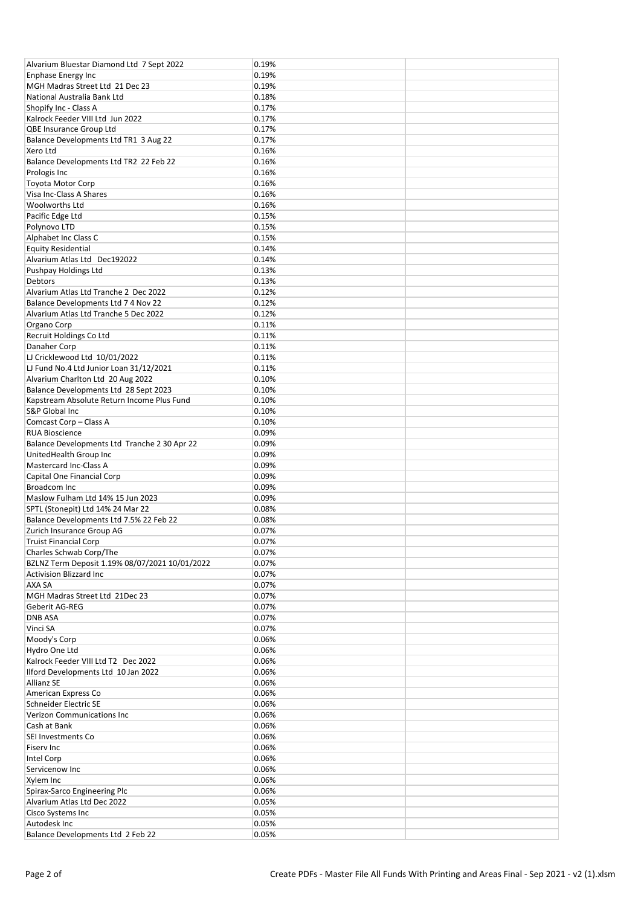| Alvarium Bluestar Diamond Ltd 7 Sept 2022      | 0.19% |  |
|------------------------------------------------|-------|--|
| <b>Enphase Energy Inc</b>                      | 0.19% |  |
| MGH Madras Street Ltd 21 Dec 23                | 0.19% |  |
|                                                |       |  |
| National Australia Bank Ltd                    | 0.18% |  |
| Shopify Inc - Class A                          | 0.17% |  |
| Kalrock Feeder VIII Ltd Jun 2022               | 0.17% |  |
| QBE Insurance Group Ltd                        | 0.17% |  |
| Balance Developments Ltd TR1 3 Aug 22          | 0.17% |  |
| Xero Ltd                                       | 0.16% |  |
| Balance Developments Ltd TR2 22 Feb 22         | 0.16% |  |
|                                                | 0.16% |  |
| Prologis Inc                                   |       |  |
| <b>Toyota Motor Corp</b>                       | 0.16% |  |
| Visa Inc-Class A Shares                        | 0.16% |  |
| Woolworths Ltd                                 | 0.16% |  |
| Pacific Edge Ltd                               | 0.15% |  |
| Polynovo LTD                                   | 0.15% |  |
| Alphabet Inc Class C                           | 0.15% |  |
| <b>Equity Residential</b>                      | 0.14% |  |
|                                                |       |  |
| Alvarium Atlas Ltd Dec192022                   | 0.14% |  |
| Pushpay Holdings Ltd                           | 0.13% |  |
| Debtors                                        | 0.13% |  |
| Alvarium Atlas Ltd Tranche 2 Dec 2022          | 0.12% |  |
| Balance Developments Ltd 7 4 Nov 22            | 0.12% |  |
| Alvarium Atlas Ltd Tranche 5 Dec 2022          | 0.12% |  |
| Organo Corp                                    | 0.11% |  |
|                                                |       |  |
| Recruit Holdings Co Ltd                        | 0.11% |  |
| Danaher Corp                                   | 0.11% |  |
| LJ Cricklewood Ltd 10/01/2022                  | 0.11% |  |
| LJ Fund No.4 Ltd Junior Loan 31/12/2021        | 0.11% |  |
| Alvarium Charlton Ltd 20 Aug 2022              | 0.10% |  |
| Balance Developments Ltd 28 Sept 2023          | 0.10% |  |
| Kapstream Absolute Return Income Plus Fund     | 0.10% |  |
| S&P Global Inc                                 | 0.10% |  |
|                                                |       |  |
| Comcast Corp - Class A                         | 0.10% |  |
| <b>RUA Bioscience</b>                          | 0.09% |  |
| Balance Developments Ltd Tranche 2 30 Apr 22   | 0.09% |  |
| UnitedHealth Group Inc                         | 0.09% |  |
| Mastercard Inc-Class A                         | 0.09% |  |
| Capital One Financial Corp                     | 0.09% |  |
| Broadcom Inc                                   | 0.09% |  |
|                                                |       |  |
| Maslow Fulham Ltd 14% 15 Jun 2023              | 0.09% |  |
| SPTL (Stonepit) Ltd 14% 24 Mar 22              | 0.08% |  |
| Balance Developments Ltd 7.5% 22 Feb 22        | 0.08% |  |
| Zurich Insurance Group AG                      | 0.07% |  |
| <b>Truist Financial Corp</b>                   | 0.07% |  |
| Charles Schwab Corp/The                        | 0.07% |  |
| BZLNZ Term Deposit 1.19% 08/07/2021 10/01/2022 | 0.07% |  |
|                                                |       |  |
| <b>Activision Blizzard Inc</b>                 | 0.07% |  |
| AXA SA                                         | 0.07% |  |
| MGH Madras Street Ltd 21Dec 23                 | 0.07% |  |
| Geberit AG-REG                                 | 0.07% |  |
| <b>DNB ASA</b>                                 | 0.07% |  |
| Vinci SA                                       | 0.07% |  |
| Moody's Corp                                   | 0.06% |  |
| Hydro One Ltd                                  | 0.06% |  |
|                                                |       |  |
| Kalrock Feeder VIII Ltd T2 Dec 2022            | 0.06% |  |
| Ilford Developments Ltd 10 Jan 2022            | 0.06% |  |
| <b>Allianz SE</b>                              | 0.06% |  |
| American Express Co                            | 0.06% |  |
| Schneider Electric SE                          | 0.06% |  |
| <b>Verizon Communications Inc.</b>             | 0.06% |  |
| Cash at Bank                                   | 0.06% |  |
|                                                | 0.06% |  |
| SEI Investments Co                             |       |  |
| Fiserv Inc                                     | 0.06% |  |
| Intel Corp                                     | 0.06% |  |
| Servicenow Inc                                 | 0.06% |  |
| Xylem Inc                                      | 0.06% |  |
| Spirax-Sarco Engineering Plc                   | 0.06% |  |
| Alvarium Atlas Ltd Dec 2022                    | 0.05% |  |
| Cisco Systems Inc                              | 0.05% |  |
|                                                |       |  |
| Autodesk Inc                                   | 0.05% |  |
| Balance Developments Ltd 2 Feb 22              | 0.05% |  |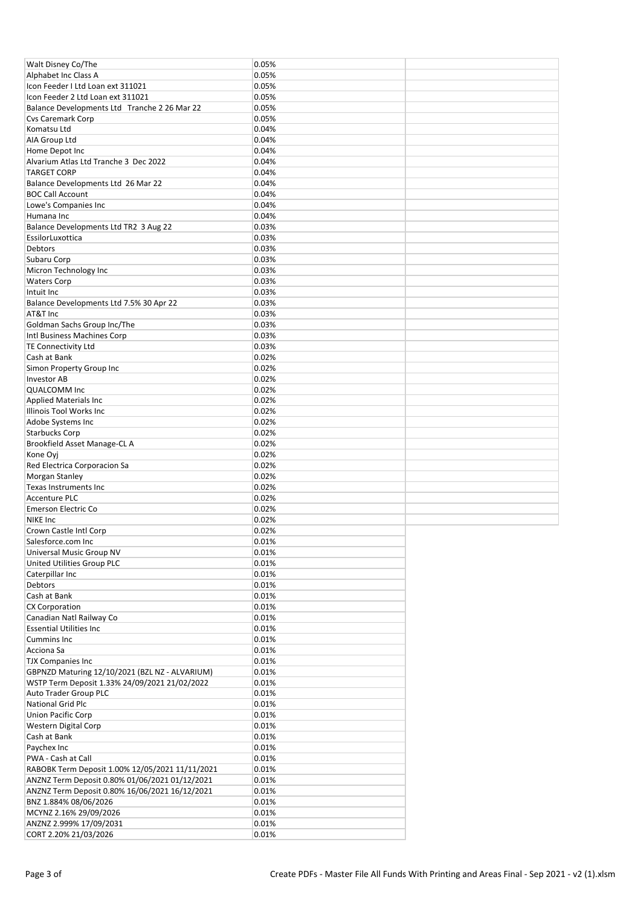| Walt Disney Co/The                               | 0.05%          |  |
|--------------------------------------------------|----------------|--|
| Alphabet Inc Class A                             | 0.05%          |  |
| Icon Feeder I Ltd Loan ext 311021                | 0.05%          |  |
|                                                  |                |  |
| Icon Feeder 2 Ltd Loan ext 311021                | 0.05%          |  |
| Balance Developments Ltd Tranche 2 26 Mar 22     | 0.05%          |  |
| <b>Cvs Caremark Corp</b>                         | 0.05%          |  |
| Komatsu Ltd                                      | 0.04%          |  |
| AIA Group Ltd                                    | 0.04%          |  |
| Home Depot Inc                                   | 0.04%          |  |
|                                                  |                |  |
| Alvarium Atlas Ltd Tranche 3 Dec 2022            | 0.04%          |  |
| <b>TARGET CORP</b>                               | 0.04%          |  |
| Balance Developments Ltd 26 Mar 22               | 0.04%          |  |
| <b>BOC Call Account</b>                          | 0.04%          |  |
| Lowe's Companies Inc                             | 0.04%          |  |
| Humana Inc                                       | 0.04%          |  |
|                                                  |                |  |
| Balance Developments Ltd TR2 3 Aug 22            | 0.03%          |  |
| EssilorLuxottica                                 | 0.03%          |  |
| <b>Debtors</b>                                   | 0.03%          |  |
| Subaru Corp                                      | 0.03%          |  |
| Micron Technology Inc                            | 0.03%          |  |
| <b>Waters Corp</b>                               | 0.03%          |  |
|                                                  |                |  |
| Intuit Inc                                       | 0.03%          |  |
| Balance Developments Ltd 7.5% 30 Apr 22          | 0.03%          |  |
| AT&T Inc                                         | 0.03%          |  |
| Goldman Sachs Group Inc/The                      | 0.03%          |  |
| Intl Business Machines Corp                      | 0.03%          |  |
| <b>TE Connectivity Ltd</b>                       | 0.03%          |  |
|                                                  |                |  |
| Cash at Bank                                     | 0.02%          |  |
| Simon Property Group Inc                         | 0.02%          |  |
| <b>Investor AB</b>                               | 0.02%          |  |
| <b>QUALCOMM Inc</b>                              | 0.02%          |  |
| <b>Applied Materials Inc.</b>                    | 0.02%          |  |
| Illinois Tool Works Inc                          | 0.02%          |  |
|                                                  |                |  |
| Adobe Systems Inc                                | 0.02%          |  |
| <b>Starbucks Corp</b>                            | 0.02%          |  |
| Brookfield Asset Manage-CL A                     | 0.02%          |  |
| Kone Oyj                                         | 0.02%          |  |
| Red Electrica Corporacion Sa                     | 0.02%          |  |
| Morgan Stanley                                   | 0.02%          |  |
|                                                  |                |  |
| Texas Instruments Inc                            | 0.02%          |  |
| <b>Accenture PLC</b>                             | 0.02%          |  |
|                                                  | 0.02%          |  |
| <b>Emerson Electric Co</b>                       |                |  |
| <b>NIKE Inc</b>                                  | 0.02%          |  |
|                                                  |                |  |
| Crown Castle Intl Corp                           | 0.02%          |  |
| Salesforce.com Inc                               | 0.01%          |  |
| Universal Music Group NV                         | 0.01%          |  |
| United Utilities Group PLC                       | 0.01%          |  |
| Caterpillar Inc                                  | 0.01%          |  |
| Debtors                                          | 0.01%          |  |
|                                                  |                |  |
| Cash at Bank                                     | 0.01%          |  |
| <b>CX Corporation</b>                            | 0.01%          |  |
| Canadian Natl Railway Co                         | 0.01%          |  |
| <b>Essential Utilities Inc</b>                   | 0.01%          |  |
| Cummins Inc                                      | 0.01%          |  |
|                                                  |                |  |
| Acciona Sa                                       | 0.01%          |  |
| <b>TJX Companies Inc</b>                         | 0.01%          |  |
| GBPNZD Maturing 12/10/2021 (BZL NZ - ALVARIUM)   | 0.01%          |  |
| WSTP Term Deposit 1.33% 24/09/2021 21/02/2022    | 0.01%          |  |
| Auto Trader Group PLC                            | 0.01%          |  |
| National Grid Plc                                | 0.01%          |  |
| Union Pacific Corp                               | 0.01%          |  |
|                                                  |                |  |
| Western Digital Corp                             | 0.01%          |  |
| Cash at Bank                                     | 0.01%          |  |
| Paychex Inc                                      | 0.01%          |  |
| PWA - Cash at Call                               | 0.01%          |  |
| RABOBK Term Deposit 1.00% 12/05/2021 11/11/2021  | 0.01%          |  |
| ANZNZ Term Deposit 0.80% 01/06/2021 01/12/2021   | 0.01%          |  |
|                                                  |                |  |
| ANZNZ Term Deposit 0.80% 16/06/2021 16/12/2021   | 0.01%          |  |
| BNZ 1.884% 08/06/2026                            | 0.01%          |  |
| MCYNZ 2.16% 29/09/2026                           | 0.01%          |  |
| ANZNZ 2.999% 17/09/2031<br>CORT 2.20% 21/03/2026 | 0.01%<br>0.01% |  |